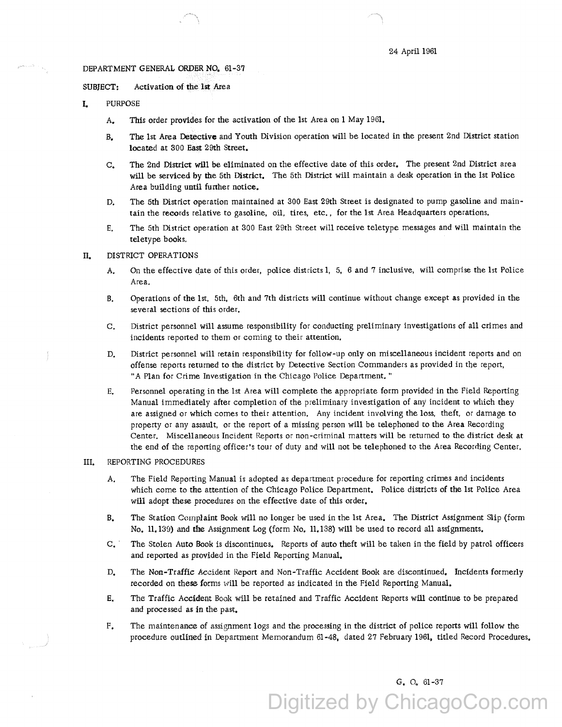#### DEPARTMENT GENERAL ORDER NO. 61-37

SUBJECT: Activation of the 1st Area

- I. PURPOSE
	- A. This order provides for the activation of the 1st Area on 1 May 1961.
	- B. The 1st Area Detective and Youth Division operation will be located in the present 2nd District station located at 300 East 29th Street.
	- c. The 2nd District will be eliminated on the effective date of this order. The present 2nd District area will be serviced by the 5th District. The 5th District will maintain a desk operation in the 1st Police Area building until further notice.
	- D. The 5th District operation maintained at 300 East 29th Street is designated to pump gasoline and maintain the records relative to gasoline, oil, tires, etc., for the 1st Area Headquarters operations.
	- E. The 5th District operation at 300 East 29th Street will receive teletype messages and will maintain the teletype books,

## II. DISTRICT OPERATIONS

- A. On the effective date of this order, police districts 1, 5, 6 and 7 inclusive, will comprise the 1st Police Area.
- B. Operations of the 1st, 5th, 6th and 7th districts will continue without change except as provided in the several sections of this order.
- C. District personnel will assume responsibility for conducting preliminary investigations of all crimes and incidents reported to them or coming to their attention.
- D. District personnel will retain responsibility for follow-up only on miscellaneous incident reports and on offense reports returned to the district by Detective Section Commanders as provided in the report, "A Plan for Crime Investigation in the Chicago Police Department. "
- E. Personnel operating in the 1st Area will complete the appropriate form provided in the Field Reporting Manual immediately after completion of the preliminary investigation of any incident to which they are assigned or which comes to their attention. Any incident involving the loss, theft, or damage to property or any assault, or the report of a missing person will be telephoned to the Area Recording Center. Miscellaneous Incident Reports or non-criminal matters will be returned to the district desk at the end of the reporting officer's tour of duty and will not be telephoned to the Area Recording Center.

## III, REPORTING PROCEDURES

- A. The Field Reporting Manual is adopted as department procedure for reporting crimes and incidents which come to the attention of the Chicago Police Department. Police districts of the 1st Police Area will adopt these procedures on the effective date of this order,
- B. The Station Complaint Book will no longer be used in the 1st Area. The District Assignment Slip (form No. 11.139) and the Assignment Log (form No. 11.138) will be used to record all assignments.
- C, · The Stolen Auto Book is discontinues. Reports of auto theft will be taken in the field by patrol officers and reported as provided in the Field Reporting Manual.
- D. The Non-Traffic Accident Report and Non-Traffic Accident Book are discontinued, Incidents formerly recorded on these forms will be reported as indicated in the Field Reporting Manual,
- E. The Traffic Accident Book will be retained and Traffic Accident Reports will continue to be prepared and processed as in the past,
- F, The maintenance of assignment logs and the processing in the district of police reports will follow the procedure outlined in Department Memorandum 61-48, dated 27 February 1961, titled Record Procedures,

G, o. 61-37

Digitized by ChicagoCop.com